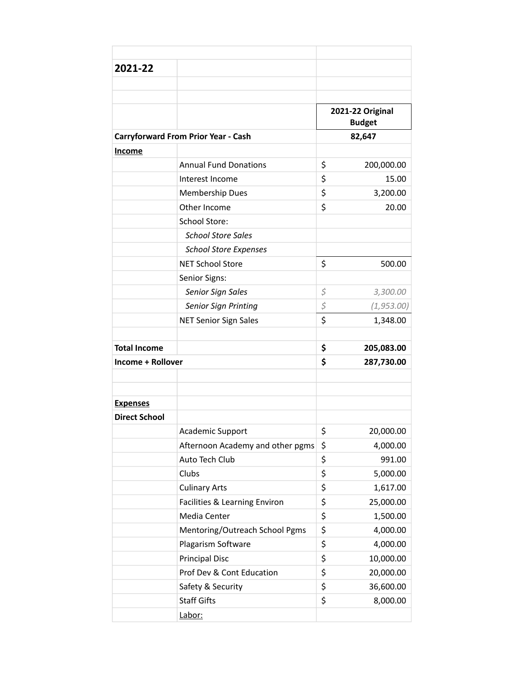| 2021-22                  |                                            |                                   |             |
|--------------------------|--------------------------------------------|-----------------------------------|-------------|
|                          |                                            |                                   |             |
|                          |                                            |                                   |             |
|                          |                                            | 2021-22 Original<br><b>Budget</b> |             |
|                          | <b>Carryforward From Prior Year - Cash</b> |                                   | 82,647      |
| <b>Income</b>            |                                            |                                   |             |
|                          | <b>Annual Fund Donations</b>               | \$                                | 200,000.00  |
|                          | Interest Income                            | \$                                | 15.00       |
|                          | Membership Dues                            | \$                                | 3,200.00    |
|                          | Other Income                               | \$                                | 20.00       |
|                          | School Store:                              |                                   |             |
|                          | <b>School Store Sales</b>                  |                                   |             |
|                          | <b>School Store Expenses</b>               |                                   |             |
|                          | <b>NET School Store</b>                    | \$                                | 500.00      |
|                          | Senior Signs:                              |                                   |             |
|                          | Senior Sign Sales                          | \$                                | 3,300.00    |
|                          | Senior Sign Printing                       | \$                                | (1, 953.00) |
|                          | <b>NET Senior Sign Sales</b>               | \$                                | 1,348.00    |
|                          |                                            |                                   |             |
| <b>Total Income</b>      |                                            | \$                                | 205,083.00  |
| <b>Income + Rollover</b> |                                            | \$                                | 287,730.00  |
|                          |                                            |                                   |             |
|                          |                                            |                                   |             |
| <b>Expenses</b>          |                                            |                                   |             |
| <b>Direct School</b>     |                                            |                                   |             |
|                          | Academic Support                           | \$                                | 20,000.00   |
|                          | Afternoon Academy and other pgms           | \$                                | 4,000.00    |
|                          | Auto Tech Club                             | \$                                | 991.00      |
|                          | Clubs                                      | \$                                | 5,000.00    |
|                          | <b>Culinary Arts</b>                       | \$                                | 1,617.00    |
|                          | Facilities & Learning Environ              | \$                                | 25,000.00   |
|                          | Media Center                               | \$                                | 1,500.00    |
|                          | Mentoring/Outreach School Pgms             | \$                                | 4,000.00    |
|                          | Plagarism Software                         | \$                                | 4,000.00    |
|                          | <b>Principal Disc</b>                      | \$                                | 10,000.00   |
|                          | Prof Dev & Cont Education                  | \$                                | 20,000.00   |
|                          | Safety & Security                          | \$                                | 36,600.00   |
|                          | <b>Staff Gifts</b>                         | \$                                | 8,000.00    |
|                          | Labor:                                     |                                   |             |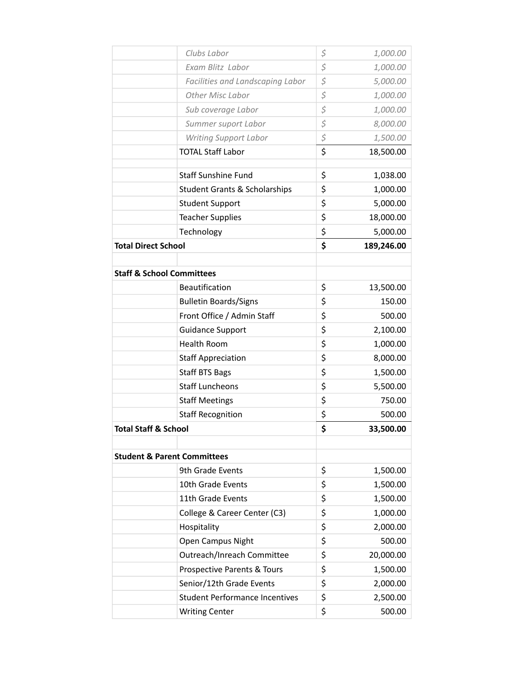|                                      | Clubs Labor                              | \$<br>1,000.00   |
|--------------------------------------|------------------------------------------|------------------|
|                                      | Exam Blitz Labor                         | \$<br>1,000.00   |
|                                      | Facilities and Landscaping Labor         | \$<br>5,000.00   |
|                                      | Other Misc Labor                         | \$<br>1,000.00   |
|                                      | Sub coverage Labor                       | \$<br>1,000.00   |
|                                      | Summer suport Labor                      | \$<br>8,000.00   |
|                                      | <b>Writing Support Labor</b>             | \$<br>1,500.00   |
|                                      | <b>TOTAL Staff Labor</b>                 | \$<br>18,500.00  |
|                                      | <b>Staff Sunshine Fund</b>               | \$<br>1,038.00   |
|                                      | <b>Student Grants &amp; Scholarships</b> | \$<br>1,000.00   |
|                                      | <b>Student Support</b>                   | \$<br>5,000.00   |
|                                      | <b>Teacher Supplies</b>                  | \$<br>18,000.00  |
|                                      | Technology                               | \$<br>5,000.00   |
| <b>Total Direct School</b>           |                                          | \$<br>189,246.00 |
|                                      |                                          |                  |
| <b>Staff &amp; School Committees</b> |                                          |                  |
|                                      | Beautification                           | \$<br>13,500.00  |
|                                      | <b>Bulletin Boards/Signs</b>             | \$<br>150.00     |
|                                      | Front Office / Admin Staff               | \$<br>500.00     |
|                                      | <b>Guidance Support</b>                  | \$<br>2,100.00   |
|                                      | <b>Health Room</b>                       | \$<br>1,000.00   |
|                                      | <b>Staff Appreciation</b>                | \$<br>8,000.00   |
|                                      | <b>Staff BTS Bags</b>                    | \$<br>1,500.00   |
|                                      | <b>Staff Luncheons</b>                   | \$<br>5,500.00   |
|                                      | <b>Staff Meetings</b>                    | \$<br>750.00     |
|                                      | <b>Staff Recognition</b>                 | \$<br>500.00     |
| <b>Total Staff &amp; School</b>      |                                          | \$<br>33,500.00  |
|                                      |                                          |                  |
|                                      | <b>Student &amp; Parent Committees</b>   |                  |
|                                      | 9th Grade Events                         | \$<br>1,500.00   |
|                                      | 10th Grade Events                        | \$<br>1,500.00   |
|                                      | 11th Grade Events                        | \$<br>1,500.00   |
|                                      | College & Career Center (C3)             | \$<br>1,000.00   |
|                                      | Hospitality                              | \$<br>2,000.00   |
|                                      | Open Campus Night                        | \$<br>500.00     |
|                                      | Outreach/Inreach Committee               | \$<br>20,000.00  |
|                                      | Prospective Parents & Tours              | \$<br>1,500.00   |
|                                      | Senior/12th Grade Events                 | \$<br>2,000.00   |
|                                      | <b>Student Performance Incentives</b>    | \$<br>2,500.00   |
|                                      | <b>Writing Center</b>                    | \$<br>500.00     |